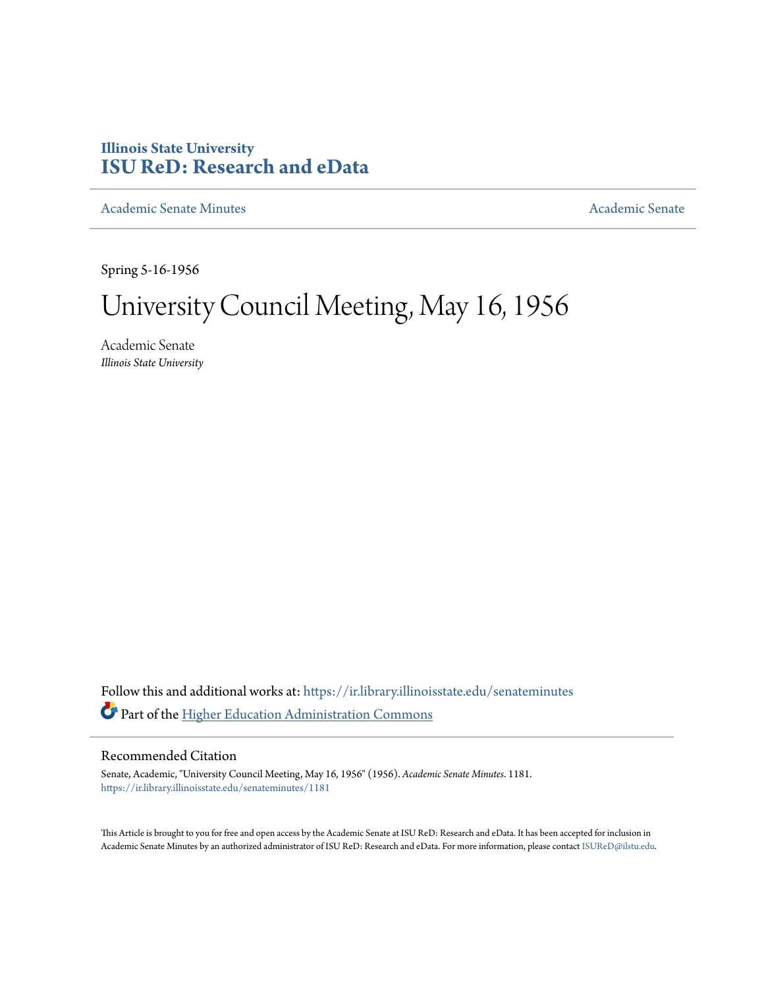## **Illinois State University [ISU ReD: Research and eData](https://ir.library.illinoisstate.edu?utm_source=ir.library.illinoisstate.edu%2Fsenateminutes%2F1181&utm_medium=PDF&utm_campaign=PDFCoverPages)**

[Academic Senate Minutes](https://ir.library.illinoisstate.edu/senateminutes?utm_source=ir.library.illinoisstate.edu%2Fsenateminutes%2F1181&utm_medium=PDF&utm_campaign=PDFCoverPages) [Academic Senate](https://ir.library.illinoisstate.edu/senate?utm_source=ir.library.illinoisstate.edu%2Fsenateminutes%2F1181&utm_medium=PDF&utm_campaign=PDFCoverPages) Academic Senate

Spring 5-16-1956

## University Council Meeting, May 16, 1956

Academic Senate *Illinois State University*

Follow this and additional works at: [https://ir.library.illinoisstate.edu/senateminutes](https://ir.library.illinoisstate.edu/senateminutes?utm_source=ir.library.illinoisstate.edu%2Fsenateminutes%2F1181&utm_medium=PDF&utm_campaign=PDFCoverPages) Part of the [Higher Education Administration Commons](http://network.bepress.com/hgg/discipline/791?utm_source=ir.library.illinoisstate.edu%2Fsenateminutes%2F1181&utm_medium=PDF&utm_campaign=PDFCoverPages)

## Recommended Citation

Senate, Academic, "University Council Meeting, May 16, 1956" (1956). *Academic Senate Minutes*. 1181. [https://ir.library.illinoisstate.edu/senateminutes/1181](https://ir.library.illinoisstate.edu/senateminutes/1181?utm_source=ir.library.illinoisstate.edu%2Fsenateminutes%2F1181&utm_medium=PDF&utm_campaign=PDFCoverPages)

This Article is brought to you for free and open access by the Academic Senate at ISU ReD: Research and eData. It has been accepted for inclusion in Academic Senate Minutes by an authorized administrator of ISU ReD: Research and eData. For more information, please contact [ISUReD@ilstu.edu.](mailto:ISUReD@ilstu.edu)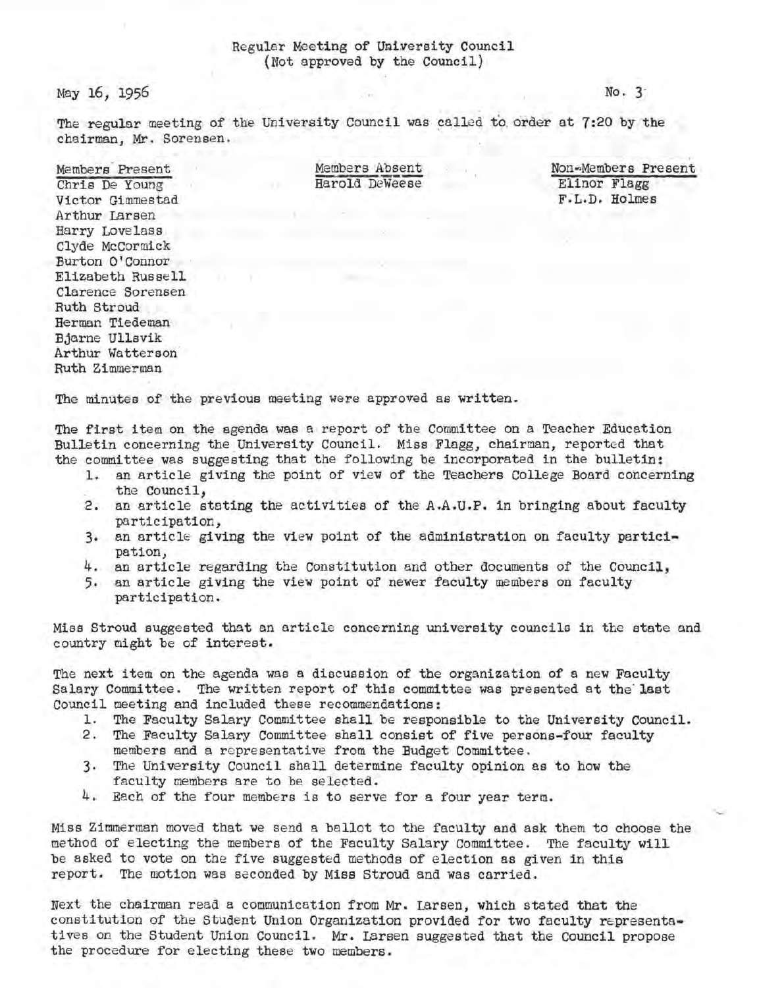## Regular Meeting of University Council {Not approved by the Council)

May 16; 1956

No. 3-

The regular meeting of the University Council was called to order at 7:20 by the chairman, Mr. Sorensen.

Members· Present Chris De Young Victor Gimmestad Arthur Larsen Harry Lovelass Clyde McCormick Burton O'Connor Elizabeth Russe ll Clarence Sorensen Ruth Stroud Herman Tiedeman Bjarne Ullsvik Arthur Watterson Ruth Zimmerman

. Members Absent Harold DeWeese Non~Members Present . Elinor Flagg F :L.D, Holmes

The minutes of the previous meeting were approved as written.

The first item on the agenda was a report of the Committee on a Teacher Education Bulletin concerning the University Council. Miss Flagg, chairman, reported that the committee was suggesting that the following be incorporated in the bulletin:

- l. an article giving the point of view of the Teachers College Board concerning the council,
- 2. an article stating the activities of the A.A.U.P, in bringing about faculty participation,
- 3. an article giving the view point of the administration on faculty participation,<br>4. an article regarding the Constitution and other documents of the Council,
- 
- 5. an article giving the view point of newer faculty members on faculty participation.

Miss Stroud suggested that an article concerning university councils in the state and country might be of interest,

The next item on the agenda was a discussion of the organization of a new Faculty Salary Committee. The written report of this committee was presented at the last Council meeting and included these recommendations:

- 1. The Faculty Salary Committee shall be responsible to the University Council.
- 2. The Faculty Salary Committee shall consist of five persons-four faculty
- members and a representative from the Budget Committee.
- 3. The University council shall determine faculty opinion as to how the faculty members are to be selected.
- 4. Each of the four members is to serve for a four year term.

Miss Zimmerman moved that we send a ballot to the faculty and ask them to choose the method of electing the members of the Faculty Salary Committee. The faculty will be asked to vote on the five suggested methods of election as given in this report. The motion was seconded by Miss Stroud and was carried.

Next the chairman read a communication from Mr. Larsen, which stated that the constitution of the Student Union Organization provided for two faculty representatives on the Student Union Council. Mr. Larsen suggested that the Council propose the procedure for electing these two members.